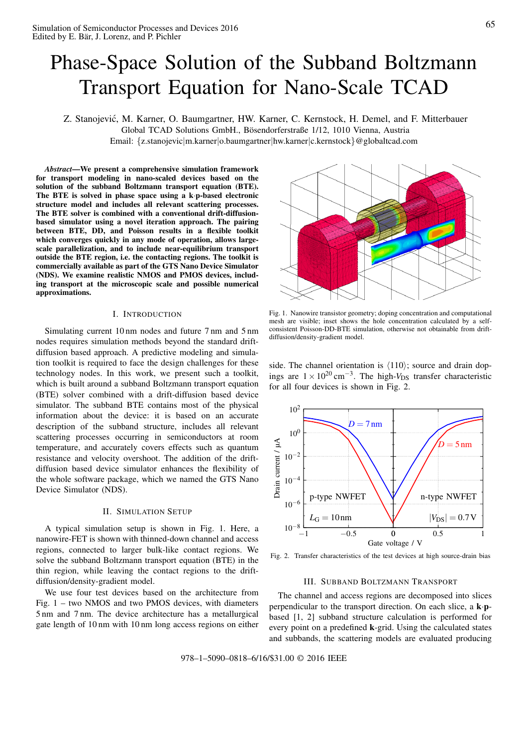# Phase-Space Solution of the Subband Boltzmann Transport Equation for Nano-Scale TCAD

Z. Stanojevic, M. Karner, O. Baumgartner, HW. Karner, C. Kernstock, H. Demel, and F. Mitterbauer ´ Global TCAD Solutions GmbH., Bösendorferstraße 1/12, 1010 Vienna, Austria Email: {z.stanojevic|m.karner|o.baumgartner|hw.karner|c.kernstock }@globaltcad.com

*Abstract*—We present a comprehensive simulation framework for transport modeling in nano-scaled devices based on the solution of the subband Boltzmann transport equation (BTE). The BTE is solved in phase space using a k ·p-based electronic structure model and includes all relevant scattering processes. The BTE solver is combined with a conventional drift-diffusionbased simulator using a novel iteration approach. The pairing between BTE, DD, and Poisson results in a flexible toolkit which converges quickly in any mode of operation, allows largescale parallelization, and to include near-equilibrium transport outside the BTE region, i.e. the contacting regions. The toolkit is commercially available as part of the GTS Nano Device Simulator (NDS). We examine realistic NMOS and PMOS devices, including transport at the microscopic scale and possible numerical approximations.

## I. INTRODUCTION

Simulating current 10 nm nodes and future 7 nm and 5 nm nodes requires simulation methods beyond the standard driftdiffusion based approach. A predictive modeling and simulation toolkit is required to face the design challenges for these technology nodes. In this work, we present such a toolkit, which is built around a subband Boltzmann transport equation (BTE) solver combined with a drift-diffusion based device simulator. The subband BTE contains most of the physical information about the device: it is based on an accurate description of the subband structure, includes all relevant scattering processes occurring in semiconductors at room temperature, and accurately covers effects such as quantum resistance and velocity overshoot. The addition of the driftdiffusion based device simulator enhances the flexibility of the whole software package, which we named the GTS Nano Device Simulator (NDS).

#### II. SIMULATION SETUP

A typical simulation setup is shown in Fig. 1. Here, a nanowire-FET is shown with thinned-down channel and access regions, connected to larger bulk-like contact regions. We solve the subband Boltzmann transport equation (BTE) in the thin region, while leaving the contact regions to the driftdiffusion/density-gradient model.

We use four test devices based on the architecture from Fig. 1 – two NMOS and two PMOS devices, with diameters 5 nm and 7 nm. The device architecture has a metallurgical gate length of 10 nm with 10 nm long access regions on either



Fig. 1. Nanowire transistor geometry; doping concentration and computational mesh are visible; inset shows the hole concentration calculated by a selfconsistent Poisson-DD-BTE simulation, otherwise not obtainable from driftdiffusion/density-gradient model.

side. The channel orientation is  $\langle 110 \rangle$ ; source and drain dopings are  $1 \times 10^{20}$  cm<sup>-3</sup>. The high- $V_{DS}$  transfer characteristic for all four devices is shown in Fig. 2.



Fig. 2. Transfer characteristics of the test devices at high source-drain bias

#### III. SUBBAND BOLTZMANN TRANSPORT

The channel and access regions are decomposed into slices perpendicular to the transport direction. On each slice, a k·pbased [1, 2] subband structure calculation is performed for every point on a predefined k-grid. Using the calculated states and subbands, the scattering models are evaluated producing

978–1–5090–0818–6/16/\$31.00 © 2016 IEEE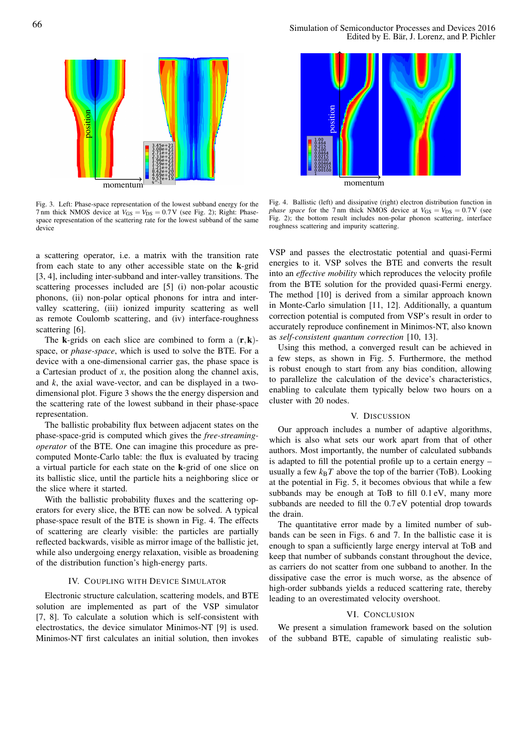

Fig. 3. Left: Phase-space representation of the lowest subband energy for the 7 nm thick NMOS device at  $V_{GS} = V_{DS} = 0.7V$  (see Fig. 2); Right: Phasespace representation of the scattering rate for the lowest subband of the same device

a scattering operator, i.e. a matrix with the transition rate from each state to any other accessible state on the k-grid [3, 4], including inter-subband and inter-valley transitions. The scattering processes included are [5] (i) non-polar acoustic phonons, (ii) non-polar optical phonons for intra and intervalley scattering, (iii) ionized impurity scattering as well as remote Coulomb scattering, and (iv) interface-roughness scattering [6].

The **k**-grids on each slice are combined to form a  $(\mathbf{r}, \mathbf{k})$ space, or *phase-space*, which is used to solve the BTE. For a device with a one-dimensional carrier gas, the phase space is a Cartesian product of *x*, the position along the channel axis, and *k*, the axial wave-vector, and can be displayed in a twodimensional plot. Figure 3 shows the the energy dispersion and the scattering rate of the lowest subband in their phase-space representation.

The ballistic probability flux between adjacent states on the phase-space-grid is computed which gives the *free-streamingoperator* of the BTE. One can imagine this procedure as precomputed Monte-Carlo table: the flux is evaluated by tracing a virtual particle for each state on the k-grid of one slice on its ballistic slice, until the particle hits a neighboring slice or the slice where it started.

With the ballistic probability fluxes and the scattering operators for every slice, the BTE can now be solved. A typical phase-space result of the BTE is shown in Fig. 4. The effects of scattering are clearly visible: the particles are partially reflected backwards, visible as mirror image of the ballistic jet, while also undergoing energy relaxation, visible as broadening of the distribution function's high-energy parts.

## IV. COUPLING WITH DEVICE SIMULATOR

Electronic structure calculation, scattering models, and BTE solution are implemented as part of the VSP simulator [7, 8]. To calculate a solution which is self-consistent with electrostatics, the device simulator Minimos-NT [9] is used. Minimos-NT first calculates an initial solution, then invokes



momentum

Fig. 4. Ballistic (left) and dissipative (right) electron distribution function in *phase space* for the 7 nm thick NMOS device at  $V_{GS} = V_{DS} = 0.7V$  (see Fig. 2); the bottom result includes non-polar phonon scattering, interface roughness scattering and impurity scattering.

VSP and passes the electrostatic potential and quasi-Fermi energies to it. VSP solves the BTE and converts the result into an *effective mobility* which reproduces the velocity profile from the BTE solution for the provided quasi-Fermi energy. The method [10] is derived from a similar approach known in Monte-Carlo simulation [11, 12]. Additionally, a quantum correction potential is computed from VSP's result in order to accurately reproduce confinement in Minimos-NT, also known as *self-consistent quantum correction* [10, 13].

Using this method, a converged result can be achieved in a few steps, as shown in Fig. 5. Furthermore, the method is robust enough to start from any bias condition, allowing to parallelize the calculation of the device's characteristics, enabling to calculate them typically below two hours on a cluster with 20 nodes.

#### V. DISCUSSION

Our approach includes a number of adaptive algorithms, which is also what sets our work apart from that of other authors. Most importantly, the number of calculated subbands is adapted to fill the potential profile up to a certain energy – usually a few  $k_B T$  above the top of the barrier (ToB). Looking at the potential in Fig. 5, it becomes obvious that while a few subbands may be enough at ToB to fill 0 .1 eV, many more subbands are needed to fill the 0 .7 eV potential drop towards the drain.

The quantitative error made by a limited number of subbands can be seen in Figs. 6 and 7. In the ballistic case it is enough to span a sufficiently large energy interval at ToB and keep that number of subbands constant throughout the device, as carriers do not scatter from one subband to another. In the dissipative case the error is much worse, as the absence of high-order subbands yields a reduced scattering rate, thereby leading to an overestimated velocity overshoot.

#### VI. CONCLUSION

We present a simulation framework based on the solution of the subband BTE, capable of simulating realistic sub-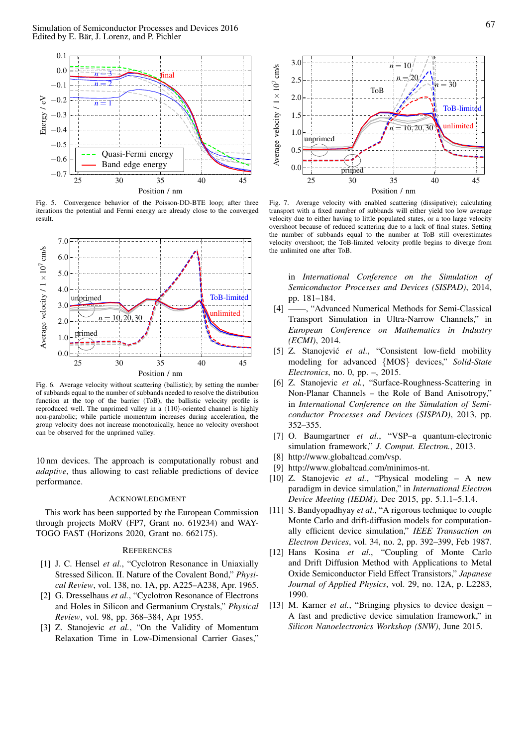

Fig. 5. Convergence behavior of the Poisson-DD-BTE loop; after three iterations the potential and Fermi energy are already close to the converged result.



Fig. 6. Average velocity without scattering (ballistic); by setting the number of subbands equal to the number of subbands needed to resolve the distribution function at the top of the barrier (ToB), the ballistic velocity profile is reproduced well. The unprimed valley in a  $\langle 110 \rangle$ -oriented channel is highly non-parabolic; while particle momentum increases during acceleration, the group velocity does not increase monotonically, hence no velocity overshoot can be observed for the unprimed valley.

10 nm devices. The approach is computationally robust and *adaptive*, thus allowing to cast reliable predictions of device performance.

#### ACKNOWLEDGMENT

This work has been supported by the European Commission through projects MoRV (FP7, Grant no. 619234) and WAY-TOGO FAST (Horizons 2020, Grant no. 662175).

# **REFERENCES**

- [1] J. C. Hensel *et al.*, "Cyclotron Resonance in Uniaxially Stressed Silicon. II. Nature of the Covalent Bond," *Physical Review*, vol. 138, no. 1A, pp. A225–A238, Apr. 1965.
- [2] G. Dresselhaus *et al.*, "Cyclotron Resonance of Electrons and Holes in Silicon and Germanium Crystals," *Physical Review*, vol. 98, pp. 368–384, Apr 1955.
- [3] Z. Stanojevic *et al.*, "On the Validity of Momentum Relaxation Time in Low-Dimensional Carrier Gases,"



Fig. 7. Average velocity with enabled scattering (dissipative); calculating transport with a fixed number of subbands will either yield too low average velocity due to either having to little populated states, or a too large velocity overshoot because of reduced scattering due to a lack of final states. Setting the number of subbands equal to the number at ToB still overestimates velocity overshoot; the ToB-limited velocity profile begins to diverge from the unlimited one after ToB.

in *International Conference on the Simulation of Semiconductor Processes and Devices (SISPAD)*, 2014, pp. 181–184.

- [4] ——, "Advanced Numerical Methods for Semi-Classical Transport Simulation in Ultra-Narrow Channels," in *European Conference on Mathematics in Industry (ECMI)*, 2014.
- [5] Z. Stanojević et al., "Consistent low-field mobility modeling for advanced {MOS } devices," *Solid-State Electronics*, no. 0, pp. –, 2015.
- [6] Z. Stanojevic *et al.*, "Surface-Roughness-Scattering in Non-Planar Channels – the Role of Band Anisotropy," in *International Conference on the Simulation of Semiconductor Processes and Devices (SISPAD)*, 2013, pp. 352–355.
- [7] O. Baumgartner *et al.*, "VSP–a quantum-electronic simulation framework," *J. Comput. Electron.*, 2013.
- [8] http://www.globaltcad.com/vsp.
- [9] http://www.globaltcad.com/minimos-nt.
- [10] Z. Stanojevic *et al.*, "Physical modeling A new paradigm in device simulation," in *International Electron Device Meeting (IEDM)*, Dec 2015, pp. 5.1.1–5.1.4.
- [11] S. Bandyopadhyay *et al.*, "A rigorous technique to couple Monte Carlo and drift-diffusion models for computationally efficient device simulation," *IEEE Transaction on Electron Devices*, vol. 34, no. 2, pp. 392–399, Feb 1987.
- [12] Hans Kosina *et al.*, "Coupling of Monte Carlo and Drift Diffusion Method with Applications to Metal Oxide Semiconductor Field Effect Transistors," *Japanese Journal of Applied Physics*, vol. 29, no. 12A, p. L2283, 1990.
- [13] M. Karner *et al.*, "Bringing physics to device design A fast and predictive device simulation framework," in *Silicon Nanoelectronics Workshop (SNW)*, June 2015.